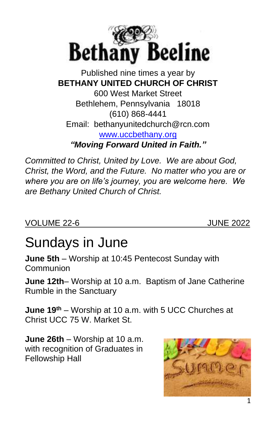

#### Published nine times a year by **BETHANY UNITED CHURCH OF CHRIST** 600 West Market Street Bethlehem, Pennsylvania 18018 (610) 868-4441 Email: bethanyunitedchurch@rcn.com [www.uccbethany.org](http://www.uccbethany.org/) *"Moving Forward United in Faith."*

*Committed to Christ, United by Love. We are about God, Christ, the Word, and the Future. No matter who you are or where you are on life's journey, you are welcome here. We are Bethany United Church of Christ.*

VOLUME 22-6 JUNE 2022

# Sundays in June

**June 5th** – Worship at 10:45 Pentecost Sunday with **Communion** 

**June 12th**– Worship at 10 a.m. Baptism of Jane Catherine Rumble in the Sanctuary

**June 19th** – Worship at 10 a.m. with 5 UCC Churches at Christ UCC 75 W. Market St.

**June 26th** – Worship at 10 a.m. with recognition of Graduates in Fellowship Hall

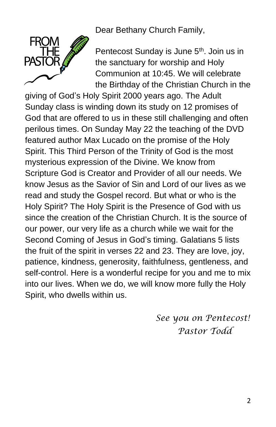Dear Bethany Church Family,



Pentecost Sunday is June 5<sup>th</sup>. Join us in the sanctuary for worship and Holy Communion at 10:45. We will celebrate the Birthday of the Christian Church in the

giving of God's Holy Spirit 2000 years ago. The Adult Sunday class is winding down its study on 12 promises of God that are offered to us in these still challenging and often perilous times. On Sunday May 22 the teaching of the DVD featured author Max Lucado on the promise of the Holy Spirit. This Third Person of the Trinity of God is the most mysterious expression of the Divine. We know from Scripture God is Creator and Provider of all our needs. We know Jesus as the Savior of Sin and Lord of our lives as we read and study the Gospel record. But what or who is the Holy Spirit? The Holy Spirit is the Presence of God with us since the creation of the Christian Church. It is the source of our power, our very life as a church while we wait for the Second Coming of Jesus in God's timing. Galatians 5 lists the fruit of the spirit in verses 22 and 23. They are love, joy, patience, kindness, generosity, faithfulness, gentleness, and self-control. Here is a wonderful recipe for you and me to mix into our lives. When we do, we will know more fully the Holy Spirit, who dwells within us.

> *See you on Pentecost! Pastor Todd*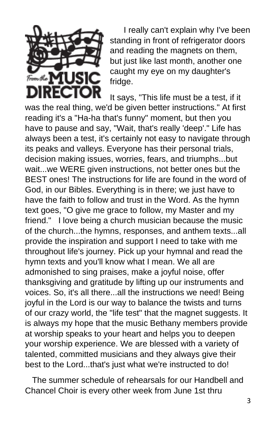

 I really can't explain why I've been standing in front of refrigerator doors and reading the magnets on them, but just like last month, another one caught my eye on my daughter's fridge.

It says, "This life must be a test, if it was the real thing, we'd be given better instructions." At first reading it's a "Ha-ha that's funny" moment, but then you have to pause and say, "Wait, that's really 'deep'." Life has always been a test, it's certainly not easy to navigate through its peaks and valleys. Everyone has their personal trials, decision making issues, worries, fears, and triumphs...but wait...we WERE given instructions, not better ones but the BEST ones! The instructions for life are found in the word of God, in our Bibles. Everything is in there; we just have to have the faith to follow and trust in the Word. As the hymn text goes, "O give me grace to follow, my Master and my friend." I love being a church musician because the music of the church...the hymns, responses, and anthem texts...all provide the inspiration and support I need to take with me throughout life's journey. Pick up your hymnal and read the hymn texts and you'll know what I mean. We all are admonished to sing praises, make a joyful noise, offer thanksgiving and gratitude by lifting up our instruments and voices. So, it's all there...all the instructions we need! Being joyful in the Lord is our way to balance the twists and turns of our crazy world, the "life test" that the magnet suggests. It is always my hope that the music Bethany members provide at worship speaks to your heart and helps you to deepen your worship experience. We are blessed with a variety of talented, committed musicians and they always give their best to the Lord...that's just what we're instructed to do!

 The summer schedule of rehearsals for our Handbell and Chancel Choir is every other week from June 1st thru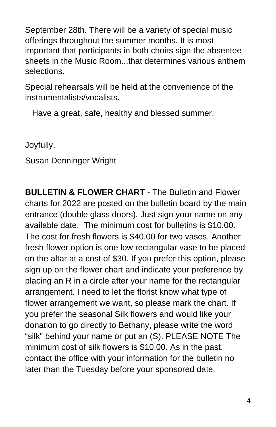September 28th. There will be a variety of special music offerings throughout the summer months. It is most important that participants in both choirs sign the absentee sheets in the Music Room...that determines various anthem selections.

Special rehearsals will be held at the convenience of the instrumentalists/vocalists.

Have a great, safe, healthy and blessed summer.

Joyfully,

Susan Denninger Wright

**BULLETIN & FLOWER CHART** - The Bulletin and Flower charts for 2022 are posted on the bulletin board by the main entrance (double glass doors). Just sign your name on any available date. The minimum cost for bulletins is \$10.00. The cost for fresh flowers is \$40.00 for two vases. Another fresh flower option is one low rectangular vase to be placed on the altar at a cost of \$30. If you prefer this option, please sign up on the flower chart and indicate your preference by placing an R in a circle after your name for the rectangular arrangement. I need to let the florist know what type of flower arrangement we want, so please mark the chart. If you prefer the seasonal Silk flowers and would like your donation to go directly to Bethany, please write the word "silk" behind your name or put an (S). PLEASE NOTE The minimum cost of silk flowers is \$10.00. As in the past, contact the office with your information for the bulletin no later than the Tuesday before your sponsored date.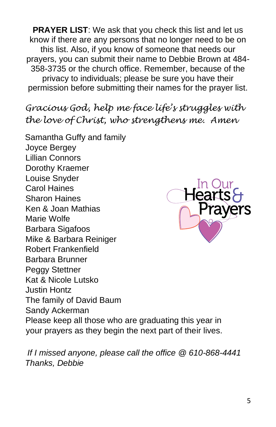**PRAYER LIST:** We ask that you check this list and let us know if there are any persons that no longer need to be on this list. Also, if you know of someone that needs our prayers, you can submit their name to Debbie Brown at 484- 358-3735 or the church office. Remember, because of the privacy to individuals; please be sure you have their permission before submitting their names for the prayer list.

*Gracious God, help me face life's struggles with the love of Christ, who strengthens me. Amen*

Samantha Guffy and family Joyce Bergey Lillian Connors Dorothy Kraemer Louise Snyder Carol Haines Sharon Haines Ken & Joan Mathias Marie Wolfe Barbara Sigafoos Mike & Barbara Reiniger Robert Frankenfield Barbara Brunner Peggy Stettner Kat & Nicole Lutsko Justin Hontz The family of David Baum Sandy Ackerman Please keep all those who are graduating this year in your prayers as they begin the next part of their lives.



*If I missed anyone, please call the office @ 610-868-4441 Thanks, Debbie*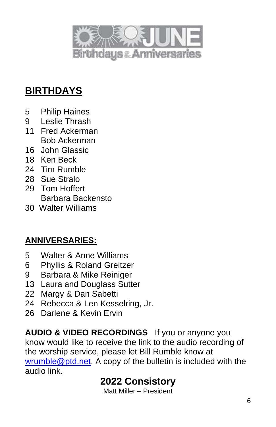

# **BIRTHDAYS**

- Philip Haines
- Leslie Thrash
- Fred Ackerman Bob Ackerman
- John Glassic
- Ken Beck
- Tim Rumble
- Sue Stralo
- Tom Hoffert Barbara Backensto
- Walter Williams

#### **ANNIVERSARIES:**

- Walter & Anne Williams
- Phyllis & Roland Greitzer
- Barbara & Mike Reiniger
- Laura and Douglass Sutter
- Margy & Dan Sabetti
- Rebecca & Len Kesselring, Jr.
- Darlene & Kevin Ervin

**AUDIO & VIDEO RECORDINGS** If you or anyone you know would like to receive the link to the audio recording of the worship service, please let Bill Rumble know at [wrumble@ptd.net.](mailto:wrumble@ptd.net) A copy of the bulletin is included with the audio link.

# **Consistory**

Matt Miller – President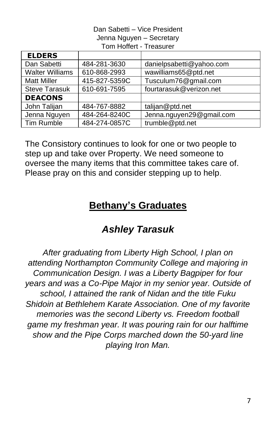#### Dan Sabetti – Vice President Jenna Nguyen – Secretary Tom Hoffert - Treasurer

| <b>ELDERS</b>          |               |                          |
|------------------------|---------------|--------------------------|
| Dan Sabetti            | 484-281-3630  | danielpsabetti@yahoo.com |
| <b>Walter Williams</b> | 610-868-2993  | wawilliams65@ptd.net     |
| <b>Matt Miller</b>     | 415-827-5359C | Tusculum76@gmail.com     |
| <b>Steve Tarasuk</b>   | 610-691-7595  | fourtarasuk@verizon.net  |
| <b>DEACONS</b>         |               |                          |
| John Talijan           | 484-767-8882  | talijan@ptd.net          |
| Jenna Nguyen           | 484-264-8240C | Jenna.nguyen29@gmail.com |
| <b>Tim Rumble</b>      | 484-274-0857C | trumble@ptd.net          |

The Consistory continues to look for one or two people to step up and take over Property. We need someone to oversee the many items that this committee takes care of. Please pray on this and consider stepping up to help.

# **Bethany's Graduates**

# *Ashley Tarasuk*

*After graduating from Liberty High School, I plan on attending Northampton Community College and majoring in Communication Design. I was a Liberty Bagpiper for four years and was a Co-Pipe Major in my senior year. Outside of school, I attained the rank of Nidan and the title Fuku Shidoin at Bethlehem Karate Association. One of my favorite memories was the second Liberty vs. Freedom football game my freshman year. It was pouring rain for our halftime show and the Pipe Corps marched down the 50-yard line playing Iron Man.*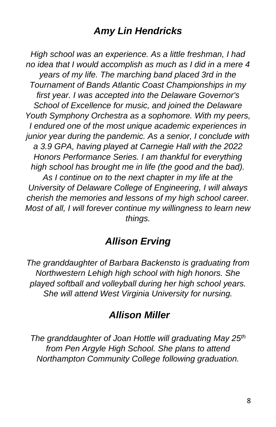# *Amy Lin Hendricks*

*High school was an experience. As a little freshman, I had no idea that I would accomplish as much as I did in a mere 4 years of my life. The marching band placed 3rd in the Tournament of Bands Atlantic Coast Championships in my first year. I was accepted into the Delaware Governor's School of Excellence for music, and joined the Delaware Youth Symphony Orchestra as a sophomore. With my peers, I endured one of the most unique academic experiences in junior year during the pandemic. As a senior, I conclude with a 3.9 GPA, having played at Carnegie Hall with the 2022 Honors Performance Series. I am thankful for everything high school has brought me in life (the good and the bad). As I continue on to the next chapter in my life at the University of Delaware College of Engineering, I will always cherish the memories and lessons of my high school career. Most of all, I will forever continue my willingness to learn new things.*

# *Allison Erving*

*The granddaughter of Barbara Backensto is graduating from Northwestern Lehigh high school with high honors. She played softball and volleyball during her high school years. She will attend West Virginia University for nursing.*

# *Allison Miller*

*The granddaughter of Joan Hottle will graduating May 25th from Pen Argyle High School. She plans to attend Northampton Community College following graduation.*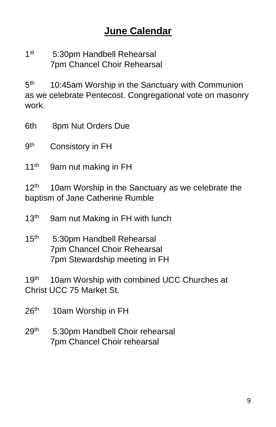#### $1<sup>st</sup>$ 5:30pm Handbell Rehearsal 7pm Chancel Choir Rehearsal

 $5<sup>th</sup>$ 10:45am Worship in the Sanctuary with Communion as we celebrate Pentecost. Congregational vote on masonry work.

6th 8pm Nut Orders Due

**gth** Consistory in FH

11<sup>th</sup> 9am nut making in FH

12<sup>th</sup> 10am Worship in the Sanctuary as we celebrate the baptism of Jane Catherine Rumble

13<sup>th</sup> 9am nut Making in FH with lunch

15<sup>th</sup> 5:30pm Handbell Rehearsal 7pm Chancel Choir Rehearsal 7pm Stewardship meeting in FH

19<sup>th</sup> 10am Worship with combined UCC Churches at Christ UCC 75 Market St.

 $26<sup>th</sup>$ 10am Worship in FH

29<sup>th 5:30pm Handbell Choir rehearsal</sup> 7pm Chancel Choir rehearsal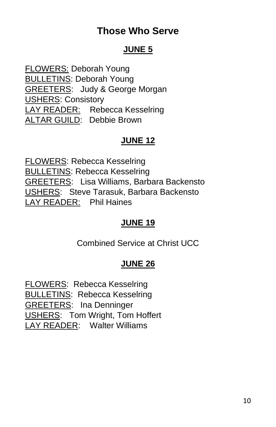# **Those Who Serve**

#### **JUNE 5**

FLOWERS: Deborah Young BULLETINS: Deborah Young GREETERS: Judy & George Morgan USHERS: Consistory LAY READER: Rebecca Kesselring ALTAR GUILD: Debbie Brown

#### **JUNE 12**

FLOWERS: Rebecca Kesselring BULLETINS: Rebecca Kesselring GREETERS: Lisa Williams, Barbara Backensto USHERS: Steve Tarasuk, Barbara Backensto LAY READER: Phil Haines

# **JUNE 19**

Combined Service at Christ UCC

# **JUNE 26**

FLOWERS: Rebecca Kesselring BULLETINS: Rebecca Kesselring GREETERS: Ina Denninger USHERS: Tom Wright, Tom Hoffert LAY READER: Walter Williams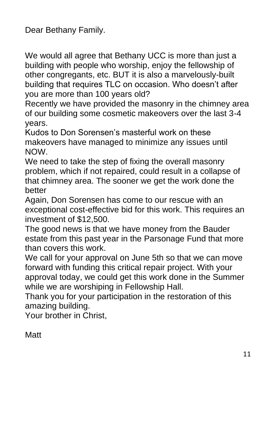Dear Bethany Family.

We would all agree that Bethany UCC is more than just a building with people who worship, enjoy the fellowship of other congregants, etc. BUT it is also a marvelously-built building that requires TLC on occasion. Who doesn't after you are more than 100 years old?

Recently we have provided the masonry in the chimney area of our building some cosmetic makeovers over the last 3-4 years.

Kudos to Don Sorensen's masterful work on these makeovers have managed to minimize any issues until NOW.

We need to take the step of fixing the overall masonry problem, which if not repaired, could result in a collapse of that chimney area. The sooner we get the work done the better

Again, Don Sorensen has come to our rescue with an exceptional cost-effective bid for this work. This requires an investment of \$12,500.

The good news is that we have money from the Bauder estate from this past year in the Parsonage Fund that more than covers this work.

We call for your approval on June 5th so that we can move forward with funding this critical repair project. With your approval today, we could get this work done in the Summer while we are worshiping in Fellowship Hall.

Thank you for your participation in the restoration of this amazing building.

Your brother in Christ,

**Matt**